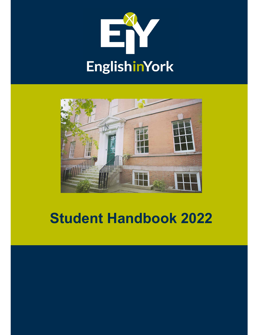



# Student Handbook 2022

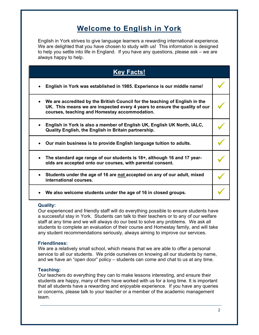# Welcome to English in York

English in York strives to give language learners a rewarding international experience. We are delighted that you have chosen to study with us! This information is designed to help you settle into life in England. If you have any questions, please ask – we are always happy to help.

| <b>Key Facts!</b>                                                                                                                                                                                          |  |
|------------------------------------------------------------------------------------------------------------------------------------------------------------------------------------------------------------|--|
| English in York was established in 1985. Experience is our middle name!                                                                                                                                    |  |
| We are accredited by the British Council for the teaching of English in the<br>UK. This means we are inspected every 4 years to ensure the quality of our<br>courses, teaching and Homestay accommodation. |  |
| English in York is also a member of English UK, English UK North, IALC,<br>Quality English, the English in Britain partnership.                                                                            |  |
| Our main business is to provide English language tuition to adults.                                                                                                                                        |  |
| The standard age range of our students is 18+, although 16 and 17 year-<br>olds are accepted onto our courses, with parental consent.                                                                      |  |
| Students under the age of 16 are not accepted on any of our adult, mixed<br>international courses.                                                                                                         |  |
| We also welcome students under the age of 16 in closed groups.                                                                                                                                             |  |

### Quality:

Our experienced and friendly staff will do everything possible to ensure students have a successful stay in York. Students can talk to their teachers or to any of our welfare staff at any time and we will always do our best to solve any problems. We ask all students to complete an evaluation of their course and Homestay family, and will take any student recommendations seriously, always aiming to improve our services.

### Friendliness:

We are a relatively small school, which means that we are able to offer a personal service to all our students. We pride ourselves on knowing all our students by name, and we have an "open door" policy – students can come and chat to us at any time.

### Teaching:

Our teachers do everything they can to make lessons interesting, and ensure their students are happy, many of them have worked with us for a long time. It is important that all students have a rewarding and enjoyable experience. If you have any queries or concerns, please talk to your teacher or a member of the academic management team.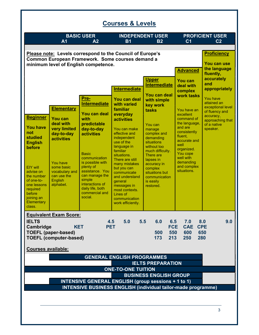| <b>BASIC USER</b><br><b>INDEPENDENT USER</b><br><b>PROFICIENT USER</b><br>A <sub>1</sub><br>A <sub>2</sub><br><b>B1</b><br><b>B2</b><br>C <sub>1</sub><br>C <sub>2</sub><br>Please note: Levels correspond to the Council of Europe's<br><b>Proficiency</b><br>Common European Framework. Some courses demand a<br>You can use<br>minimum level of English competence.<br>the language<br><b>Advanced</b><br>fluently,<br>accurately<br><b>Upper</b><br>You can<br>and<br><b>Intermediate</b><br>deal with<br>appropriately<br><b>Intermediate</b><br>complex<br>You can deal<br>work tasks<br>Pre-<br><b>You have</b><br>You can deal<br>with simple<br>attained an<br><b>Intermediate</b><br>with varied<br>key work<br>exceptional level<br><b>Elementary</b><br>familiar<br>You have an<br>tasks<br>of fluency and<br>You can deal<br>everyday<br>excellent<br>accuracy,<br><b>Beginner</b><br><b>You can</b><br>with<br>command of<br><b>activities</b><br>approaching that<br>the language,<br>deal with<br>predictable<br>of a native<br>You can<br><b>You have</b><br>and are<br>very limited<br>day-to-day<br>You can make<br>speaker.<br>manage<br>consistently<br>not<br>effective and<br>complex and<br>day-to-day<br><b>activities</b><br>fluent,<br>studied<br>independent<br>demanding<br><b>activities</b><br>accurate and<br>use of the<br>situations<br><b>English</b><br>well<br>without too<br>language in<br>before<br>organized.<br>familiar<br>much difficulty.<br>You cope<br><b>Basic</b><br>situations.<br>There are<br>well with<br>communication<br>There are still<br>lapses in<br>demanding<br>is possible with<br>You have<br>many mistakes<br>accuracy in<br>and complex<br>plenty of<br>some basic<br>EIY will<br>but you can<br>complex<br>situations.<br>assistance. You<br>vocabulary and<br>advise on<br>communicate<br>situations but<br>can manage the<br>can use the<br>the number<br>and understand<br>communication<br>simple<br>English<br>of one-to-<br>general<br>is easily<br>interactions of<br>alphabet.<br>one lessons<br>messages in<br>restored.<br>daily life, both<br>required<br>most contexts.<br>commercial and<br>before<br>Lines of<br>social.<br>joining an<br>communication<br><b>Elementary</b><br>work efficiently.<br>class.<br><b>Equivalent Exam Score:</b><br><b>IELTS</b><br>5.0<br>5.5<br>7.0<br>4.5<br>6.0<br>6.5<br>8.0<br><b>FCE</b><br><b>CAE</b><br>Cambridge<br><b>KET</b><br><b>PET</b><br><b>CPE</b><br>500<br>550<br><b>TOEFL (paper-based)</b><br>600<br>650<br><b>TOEFL (computer-based)</b><br>213<br>280<br>173<br>250 | <b>Courses &amp; Levels</b> |  |  |
|---------------------------------------------------------------------------------------------------------------------------------------------------------------------------------------------------------------------------------------------------------------------------------------------------------------------------------------------------------------------------------------------------------------------------------------------------------------------------------------------------------------------------------------------------------------------------------------------------------------------------------------------------------------------------------------------------------------------------------------------------------------------------------------------------------------------------------------------------------------------------------------------------------------------------------------------------------------------------------------------------------------------------------------------------------------------------------------------------------------------------------------------------------------------------------------------------------------------------------------------------------------------------------------------------------------------------------------------------------------------------------------------------------------------------------------------------------------------------------------------------------------------------------------------------------------------------------------------------------------------------------------------------------------------------------------------------------------------------------------------------------------------------------------------------------------------------------------------------------------------------------------------------------------------------------------------------------------------------------------------------------------------------------------------------------------------------------------------------------------------------------------------------------------------------------------------------------------------------------------------------------------------------------------------------------------------------------------------------------------------------------------------------------------------------------------------------------------------------------------------------------------------------------------------------------------------------------------------------------|-----------------------------|--|--|
|                                                                                                                                                                                                                                                                                                                                                                                                                                                                                                                                                                                                                                                                                                                                                                                                                                                                                                                                                                                                                                                                                                                                                                                                                                                                                                                                                                                                                                                                                                                                                                                                                                                                                                                                                                                                                                                                                                                                                                                                                                                                                                                                                                                                                                                                                                                                                                                                                                                                                                                                                                                                         |                             |  |  |
|                                                                                                                                                                                                                                                                                                                                                                                                                                                                                                                                                                                                                                                                                                                                                                                                                                                                                                                                                                                                                                                                                                                                                                                                                                                                                                                                                                                                                                                                                                                                                                                                                                                                                                                                                                                                                                                                                                                                                                                                                                                                                                                                                                                                                                                                                                                                                                                                                                                                                                                                                                                                         |                             |  |  |
|                                                                                                                                                                                                                                                                                                                                                                                                                                                                                                                                                                                                                                                                                                                                                                                                                                                                                                                                                                                                                                                                                                                                                                                                                                                                                                                                                                                                                                                                                                                                                                                                                                                                                                                                                                                                                                                                                                                                                                                                                                                                                                                                                                                                                                                                                                                                                                                                                                                                                                                                                                                                         |                             |  |  |
|                                                                                                                                                                                                                                                                                                                                                                                                                                                                                                                                                                                                                                                                                                                                                                                                                                                                                                                                                                                                                                                                                                                                                                                                                                                                                                                                                                                                                                                                                                                                                                                                                                                                                                                                                                                                                                                                                                                                                                                                                                                                                                                                                                                                                                                                                                                                                                                                                                                                                                                                                                                                         |                             |  |  |
|                                                                                                                                                                                                                                                                                                                                                                                                                                                                                                                                                                                                                                                                                                                                                                                                                                                                                                                                                                                                                                                                                                                                                                                                                                                                                                                                                                                                                                                                                                                                                                                                                                                                                                                                                                                                                                                                                                                                                                                                                                                                                                                                                                                                                                                                                                                                                                                                                                                                                                                                                                                                         |                             |  |  |
|                                                                                                                                                                                                                                                                                                                                                                                                                                                                                                                                                                                                                                                                                                                                                                                                                                                                                                                                                                                                                                                                                                                                                                                                                                                                                                                                                                                                                                                                                                                                                                                                                                                                                                                                                                                                                                                                                                                                                                                                                                                                                                                                                                                                                                                                                                                                                                                                                                                                                                                                                                                                         |                             |  |  |
|                                                                                                                                                                                                                                                                                                                                                                                                                                                                                                                                                                                                                                                                                                                                                                                                                                                                                                                                                                                                                                                                                                                                                                                                                                                                                                                                                                                                                                                                                                                                                                                                                                                                                                                                                                                                                                                                                                                                                                                                                                                                                                                                                                                                                                                                                                                                                                                                                                                                                                                                                                                                         |                             |  |  |
|                                                                                                                                                                                                                                                                                                                                                                                                                                                                                                                                                                                                                                                                                                                                                                                                                                                                                                                                                                                                                                                                                                                                                                                                                                                                                                                                                                                                                                                                                                                                                                                                                                                                                                                                                                                                                                                                                                                                                                                                                                                                                                                                                                                                                                                                                                                                                                                                                                                                                                                                                                                                         |                             |  |  |
|                                                                                                                                                                                                                                                                                                                                                                                                                                                                                                                                                                                                                                                                                                                                                                                                                                                                                                                                                                                                                                                                                                                                                                                                                                                                                                                                                                                                                                                                                                                                                                                                                                                                                                                                                                                                                                                                                                                                                                                                                                                                                                                                                                                                                                                                                                                                                                                                                                                                                                                                                                                                         |                             |  |  |
|                                                                                                                                                                                                                                                                                                                                                                                                                                                                                                                                                                                                                                                                                                                                                                                                                                                                                                                                                                                                                                                                                                                                                                                                                                                                                                                                                                                                                                                                                                                                                                                                                                                                                                                                                                                                                                                                                                                                                                                                                                                                                                                                                                                                                                                                                                                                                                                                                                                                                                                                                                                                         | 9.0                         |  |  |
|                                                                                                                                                                                                                                                                                                                                                                                                                                                                                                                                                                                                                                                                                                                                                                                                                                                                                                                                                                                                                                                                                                                                                                                                                                                                                                                                                                                                                                                                                                                                                                                                                                                                                                                                                                                                                                                                                                                                                                                                                                                                                                                                                                                                                                                                                                                                                                                                                                                                                                                                                                                                         |                             |  |  |
| <b>Courses available:</b>                                                                                                                                                                                                                                                                                                                                                                                                                                                                                                                                                                                                                                                                                                                                                                                                                                                                                                                                                                                                                                                                                                                                                                                                                                                                                                                                                                                                                                                                                                                                                                                                                                                                                                                                                                                                                                                                                                                                                                                                                                                                                                                                                                                                                                                                                                                                                                                                                                                                                                                                                                               |                             |  |  |
| <b>GENERAL ENGLISH PROGRAMMES</b>                                                                                                                                                                                                                                                                                                                                                                                                                                                                                                                                                                                                                                                                                                                                                                                                                                                                                                                                                                                                                                                                                                                                                                                                                                                                                                                                                                                                                                                                                                                                                                                                                                                                                                                                                                                                                                                                                                                                                                                                                                                                                                                                                                                                                                                                                                                                                                                                                                                                                                                                                                       |                             |  |  |
| <b>IELTS PREPARATION</b>                                                                                                                                                                                                                                                                                                                                                                                                                                                                                                                                                                                                                                                                                                                                                                                                                                                                                                                                                                                                                                                                                                                                                                                                                                                                                                                                                                                                                                                                                                                                                                                                                                                                                                                                                                                                                                                                                                                                                                                                                                                                                                                                                                                                                                                                                                                                                                                                                                                                                                                                                                                |                             |  |  |
| <b>ONE-TO-ONE TUITION</b><br><b>BUSINESS ENGLISH GROUP</b>                                                                                                                                                                                                                                                                                                                                                                                                                                                                                                                                                                                                                                                                                                                                                                                                                                                                                                                                                                                                                                                                                                                                                                                                                                                                                                                                                                                                                                                                                                                                                                                                                                                                                                                                                                                                                                                                                                                                                                                                                                                                                                                                                                                                                                                                                                                                                                                                                                                                                                                                              |                             |  |  |
| <b>INTENSIVE GENERAL ENGLISH (group sessions + 1 to 1)</b>                                                                                                                                                                                                                                                                                                                                                                                                                                                                                                                                                                                                                                                                                                                                                                                                                                                                                                                                                                                                                                                                                                                                                                                                                                                                                                                                                                                                                                                                                                                                                                                                                                                                                                                                                                                                                                                                                                                                                                                                                                                                                                                                                                                                                                                                                                                                                                                                                                                                                                                                              |                             |  |  |
| <b>INTENSIVE BUSINESS ENGLISH (individual tailor-made programme)</b>                                                                                                                                                                                                                                                                                                                                                                                                                                                                                                                                                                                                                                                                                                                                                                                                                                                                                                                                                                                                                                                                                                                                                                                                                                                                                                                                                                                                                                                                                                                                                                                                                                                                                                                                                                                                                                                                                                                                                                                                                                                                                                                                                                                                                                                                                                                                                                                                                                                                                                                                    |                             |  |  |
|                                                                                                                                                                                                                                                                                                                                                                                                                                                                                                                                                                                                                                                                                                                                                                                                                                                                                                                                                                                                                                                                                                                                                                                                                                                                                                                                                                                                                                                                                                                                                                                                                                                                                                                                                                                                                                                                                                                                                                                                                                                                                                                                                                                                                                                                                                                                                                                                                                                                                                                                                                                                         |                             |  |  |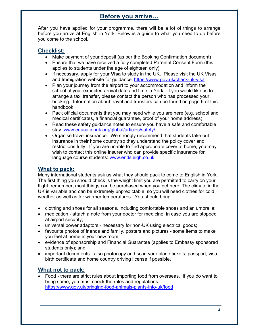# Before you arrive…

After you have applied for your programme, there will be a lot of things to arrange before you arrive at English in York. Below is a guide to what you need to do before you come to the school.

### Checklist:

- Make payment of your deposit (as per the Booking Confirmation document)
- Ensure that we have received a fully completed Parental Consent Form (this applies to students under the age of eighteen only)
- If necessary, apply for your Visa to study in the UK. Please visit the UK Visas and Immigration website for guidance: https://www.gov.uk/check-uk-visa
- Plan your journey from the airport to your accommodation and inform the school of your expected arrival date and time in York. If you would like us to arrange a taxi transfer, please contact the person who has processed your booking. Information about travel and transfers can be found on page 6 of this handbook.
- Pack official documents that you may need while you are here (e.g. school and medical certificates, a financial guarantee, proof of your home address)
- Read these safety guidance notes to ensure you have a safe and comfortable stay: www.educationuk.org/global/articles/safety/
- Organise travel insurance. We strongly recommend that students take out insurance in their home country so they understand the policy cover and restrictions fully. If you are unable to find appropriate cover at home, you may wish to contact this online insurer who can provide specific insurance for language course students: www.endsleigh.co.uk

### What to pack:

Many international students ask us what they should pack to come to English in York. The first thing you should check is the weight limit you are permitted to carry on your flight; remember, most things can be purchased when you get here. The climate in the UK is variable and can be extremely unpredictable, so you will need clothes for cold weather as well as for warmer temperatures. You should bring:

- clothing and shoes for all seasons, including comfortable shoes and an umbrella;
- medication attach a note from your doctor for medicine, in case you are stopped at airport security;
- universal power adaptors necessary for non-UK using electrical goods;
- favourite photos of friends and family, posters and pictures some items to make you feel at home in your new room;
- evidence of sponsorship and Financial Guarantee (applies to Embassy sponsored students only); and
- important documents also photocopy and scan your plane tickets, passport, visa, birth certificate and home country driving license if possible.

### What not to pack:

 Food - there are strict rules about importing food from overseas. If you do want to bring some, you must check the rules and regulations: https://www.gov.uk/bringing-food-animals-plants-into-uk/food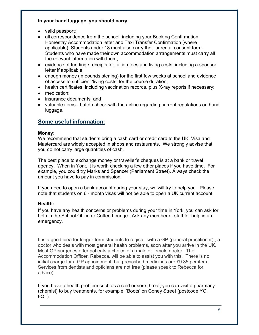### In your hand luggage, you should carry:

- valid passport;
- all correspondence from the school, including your Booking Confirmation, Homestay Accommodation letter and Taxi Transfer Confirmation (where applicable). Students under 18 must also carry their parental consent form. Students who have made their own accommodation arrangements must carry all the relevant information with them;
- evidence of funding / receipts for tuition fees and living costs, including a sponsor letter if applicable;
- enough money (in pounds sterling) for the first few weeks at school and evidence of access to sufficient 'living costs' for the course duration;
- health certificates, including vaccination records, plus X-ray reports if necessary;
- medication;
- insurance documents; and
- valuable items but do check with the airline regarding current regulations on hand luggage.

### Some useful information:

### Money:

We recommend that students bring a cash card or credit card to the UK. Visa and Mastercard are widely accepted in shops and restaurants. We strongly advise that you do not carry large quantities of cash.

The best place to exchange money or traveller's cheques is at a bank or travel agency. When in York, it is worth checking a few other places if you have time. For example, you could try Marks and Spencer (Parliament Street). Always check the amount you have to pay in commission.

If you need to open a bank account during your stay, we will try to help you. Please note that students on 6 - month visas will not be able to open a UK current account.

### Health:

If you have any health concerns or problems during your time in York, you can ask for help in the School Office or Coffee Lounge. Ask any member of staff for help in an emergency.

It is a good idea for longer-term students to register with a GP (general practitioner) , a doctor who deals with most general health problems, soon after you arrive in the UK. Most GP surgeries offer patients a choice of a male or female doctor. The Accommodation Officer, Rebecca, will be able to assist you with this. There is no initial charge for a GP appointment, but prescribed medicines are  $£9.35$  per item. Services from dentists and opticians are not free (please speak to Rebecca for advice).

If you have a health problem such as a cold or sore throat, you can visit a pharmacy (chemist) to buy treatments, for example: 'Boots' on Coney Street (postcode YO1 9QL).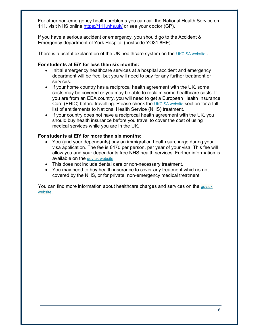For other non-emergency health problems you can call the National Health Service on 111, visit NHS online https://111.nhs.uk/ or see your doctor (GP).

If you have a serious accident or emergency, you should go to the Accident & Emergency department of York Hospital (postcode YO31 8HE).

There is a useful explanation of the UK healthcare system on the UKCISA website.

### For students at EiY for less than six months:

- Initial emergency healthcare services at a hospital accident and emergency department will be free, but you will need to pay for any further treatment or services.
- If your home country has a reciprocal health agreement with the UK, some costs may be covered or you may be able to reclaim some healthcare costs. If you are from an EEA country, you will need to get a European Health Insurance Card (EHIC) before travelling. Please check the UKCISA website section for a full list of entitlements to National Health Service (NHS) treatment.
- If your country does not have a reciprocal health agreement with the UK, you should buy health insurance before you travel to cover the cost of using medical services while you are in the UK.

### For students at EiY for more than six months:

- You (and your dependants) pay an immigration health surcharge during your visa application. The fee is £470 per person, per year of your visa. This fee will allow you and your dependants free NHS health services. Further information is available on the gov.uk website.
- This does not include dental care or non-necessary treatment.
- You may need to buy health insurance to cover any treatment which is not covered by the NHS, or for private, non-emergency medical treatment.

You can find more information about healthcare charges and services on the gov.uk website.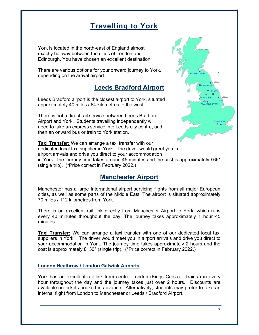# Travelling to York

York is located in the north-east of England almost exactly halfway between the cities of London and Edinburgh. You have chosen an excellent destination!

There are various options for your onward journey to York, depending on the arrival airport.

# Leeds Bradford Airport

Leeds Bradford airport is the closest airport to York, situated approximately 40 miles / 64 kilometres to the west.

There is not a direct rail service between Leeds Bradford Airport and York. Students travelling independently will need to take an express service into Leeds city centre, and then an onward bus or train to York station.

NEWCAS VOE

Taxi Transfer: We can arrange a taxi transfer with our dedicated local taxi supplier in York. The driver would greet you in airport arrivals and drive you direct to your accommodation in York. The journey time takes around 45 minutes and the cost is approximately £65\* (single trip). (\*Price correct in February 2022.)

# Manchester Airport

Manchester has a large International airport servicing flights from all major European cities, as well as some parts of the Middle East. The airport is situated approximately 70 miles / 112 kilometres from York.

There is an excellent rail link directly from Manchester Airport to York, which runs every 40 minutes throughout the day. The journey takes approximately 1 hour 45 minutes.

**Taxi Transfer:** We can arrange a taxi transfer with one of our dedicated local taxi suppliers in York. The driver would meet you in airport arrivals and drive you direct to your accommodation in York. The journey time takes approximately 2 hours and the cost is approximately £130\* (single trip). (\*Price correct in February 2022.)

### London Heathrow / London Gatwick Airports

York has an excellent rail link from central London (Kings Cross). Trains run every hour throughout the day and the journey takes just over 2 hours. Discounts are available on tickets booked in advance. Alternatively, students may prefer to take an internal flight from London to Manchester or Leeds / Bradford Airport.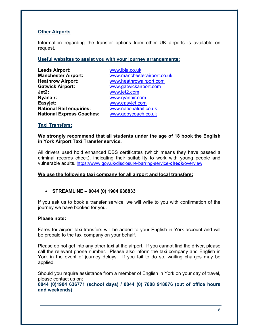### **Other Airports**

Information regarding the transfer options from other UK airports is available on request.

### Useful websites to assist you with your journey arrangements:

| <b>Leeds Airport:</b>            | www.lbia.co.uk              |
|----------------------------------|-----------------------------|
| <b>Manchester Airport:</b>       | www.manchesterairport.co.uk |
| <b>Heathrow Airport:</b>         | www.heathrowairport.com     |
| <b>Gatwick Airport:</b>          | www.gatwickairport.com      |
| Jet2:                            | www.jet2.com                |
| Ryanair:                         | www.ryanair.com             |
| Easyjet:                         | www.easyjet.com             |
| <b>National Rail enquiries:</b>  | www.nationalrail.co.uk      |
| <b>National Express Coaches:</b> | www.gobycoach.co.uk         |

### Taxi Transfers:

We strongly recommend that all students under the age of 18 book the English in York Airport Taxi Transfer service.

All drivers used hold enhanced DBS certificates (which means they have passed a criminal records check), indicating their suitability to work with young people and vulnerable adults. https://www.gov.uk/disclosure-barring-service-check/overview

### We use the following taxi company for all airport and local transfers:

### $\bullet$  STREAMLINE – 0044 (0) 1904 638833

If you ask us to book a transfer service, we will write to you with confirmation of the journey we have booked for you.

### Please note:

Fares for airport taxi transfers will be added to your English in York account and will be prepaid to the taxi company on your behalf.

Please do not get into any other taxi at the airport. If you cannot find the driver, please call the relevant phone number. Please also inform the taxi company and English in York in the event of journey delays. If you fail to do so, waiting charges may be applied.

Should you require assistance from a member of English in York on your day of travel, please contact us on:

0044 (0)1904 636771 (school days) / 0044 (0) 7808 918876 (out of office hours and weekends)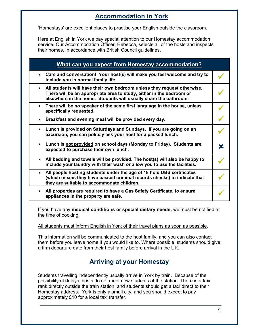# Accommodation in York

'Homestays' are excellent places to practise your English outside the classroom.

Here at English in York we pay special attention to our Homestay accommodation service. Our Accommodation Officer, Rebecca, selects all of the hosts and inspects their homes, in accordance with British Council guidelines.

| What can you expect from Homestay accommodation?                                                                                                                                                                      |  |
|-----------------------------------------------------------------------------------------------------------------------------------------------------------------------------------------------------------------------|--|
| • Care and conversation! Your host(s) will make you feel welcome and try to<br>include you in normal family life.                                                                                                     |  |
| • All students will have their own bedroom unless they request otherwise.<br>There will be an appropriate area to study, either in the bedroom or<br>elsewhere in the home. Students will usually share the bathroom. |  |
| There will be no speaker of the same first language in the house, unless<br>specifically requested.                                                                                                                   |  |
| Breakfast and evening meal will be provided every day.                                                                                                                                                                |  |
| Lunch is provided on Saturdays and Sundays. If you are going on an<br>$\bullet$<br>excursion, you can politely ask your host for a packed lunch.                                                                      |  |
| Lunch is not provided on school days (Monday to Friday). Students are<br>expected to purchase their own lunch.                                                                                                        |  |
| All bedding and towels will be provided. The host(s) will also be happy to<br>include your laundry with their wash or allow you to use the facilities.                                                                |  |
| All people hosting students under the age of 18 hold DBS certificates<br>(which means they have passed criminal records checks) to indicate that<br>they are suitable to accommodate children.                        |  |
| All properties are required to have a Gas Safety Certificate, to ensure<br>appliances in the property are safe.                                                                                                       |  |

If you have any medical conditions or special dietary needs, we must be notified at the time of booking.

### All students must inform English in York of their travel plans as soon as possible.

This information will be communicated to the host family, and you can also contact them before you leave home if you would like to. Where possible, students should give a firm departure date from their host family before arrival in the UK.

# Arriving at your Homestay

Students travelling independently usually arrive in York by train. Because of the possibility of delays, hosts do not meet new students at the station. There is a taxi rank directly outside the train station, and students should get a taxi direct to their Homestay address. York is only a small city, and you should expect to pay approximately £10 for a local taxi transfer.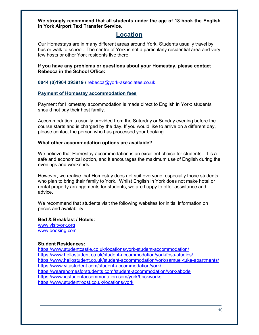We strongly recommend that all students under the age of 18 book the English in York Airport Taxi Transfer Service.

### Location

Our Homestays are in many different areas around York. Students usually travel by bus or walk to school. The centre of York is not a particularly residential area and very few hosts or other York residents live there.

If you have any problems or questions about your Homestay, please contact Rebecca in the School Office:

0044 (0)1904 393919 / rebecca@york-associates.co.uk

### Payment of Homestay accommodation fees

Payment for Homestay accommodation is made direct to English in York: students should not pay their host family.

Accommodation is usually provided from the Saturday or Sunday evening before the course starts and is charged by the day. If you would like to arrive on a different day, please contact the person who has processed your booking.

### What other accommodation options are available?

We believe that Homestay accommodation is an excellent choice for students. It is a safe and economical option, and it encourages the maximum use of English during the evenings and weekends.

However, we realise that Homestay does not suit everyone, especially those students who plan to bring their family to York. Whilst English in York does not make hotel or rental property arrangements for students, we are happy to offer assistance and advice.

We recommend that students visit the following websites for initial information on prices and availability:

#### Bed & Breakfast / Hotels:

www.visityork.org www.booking.com

#### Student Residences:

https://www.studentcastle.co.uk/locations/york-student-accommodation/ https://www.hellostudent.co.uk/student-accommodation/york/foss-studios/ https://www.hellostudent.co.uk/student-accommodation/york/samuel-tuke-apartments/ https://www.vitastudent.com/student-accommodation/york/ https://wearehomesforstudents.com/student-accommodation/york/abode https://www.iqstudentaccommodation.com/york/brickworks https://www.studentroost.co.uk/locations/york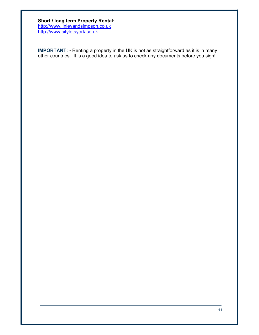#### Short / long term Property Rental: http://www.linleyandsimpson.co.uk

http://www.cityletsyork.co.uk

**IMPORTANT:** - Renting a property in the UK is not as straightforward as it is in many other countries. It is a good idea to ask us to check any documents before you sign!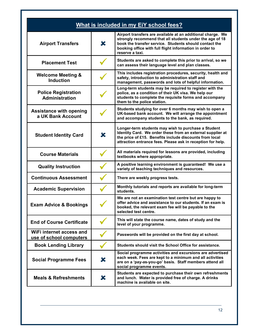|                                                     |             | What is included in my EiY school fees?                                                                                                                                                                                                                         |
|-----------------------------------------------------|-------------|-----------------------------------------------------------------------------------------------------------------------------------------------------------------------------------------------------------------------------------------------------------------|
| <b>Airport Transfers</b>                            | $\mathbf x$ | Airport transfers are available at an additional charge. We<br>strongly recommend that all students under the age of 18<br>book the transfer service. Students should contact the<br>booking office with full flight information in order to<br>reserve a taxi. |
| <b>Placement Test</b>                               |             | Students are asked to complete this prior to arrival, so we<br>can assess their language level and plan classes.                                                                                                                                                |
| <b>Welcome Meeting &amp;</b><br><b>Induction</b>    |             | This includes registration procedures, security, health and<br>safety, introduction to administration staff and<br>management, passwords and lots of helpful information.                                                                                       |
| <b>Police Registration</b><br><b>Administration</b> |             | Long-term students may be required to register with the<br>police, as a condition of their UK visa. We help our<br>students to complete the requisite forms and accompany<br>them to the police station.                                                        |
| <b>Assistance with opening</b><br>a UK Bank Account |             | Students studying for over 6 months may wish to open a<br>UK-based bank account. We will arrange the appointment<br>and accompany students to the bank, as required.                                                                                            |
| <b>Student Identity Card</b>                        | X           | Longer-term students may wish to purchase a Student<br>Identity Card. We order these from an external supplier at<br>the price of £15. Benefits include discounts from local<br>attraction entrance fees. Please ask in reception for help.                     |
| <b>Course Materials</b>                             |             | All materials required for lessons are provided, including<br>textbooks where appropriate.                                                                                                                                                                      |
| <b>Quality Instruction</b>                          |             | A positive learning environment is guaranteed! We use a<br>variety of teaching techniques and resources.                                                                                                                                                        |
| <b>Continuous Assessment</b>                        |             | There are weekly progress tests.                                                                                                                                                                                                                                |
| <b>Academic Supervision</b>                         |             | Monthly tutorials and reports are available for long-term<br>students.                                                                                                                                                                                          |
| <b>Exam Advice &amp; Bookings</b>                   |             | We are not an examination test centre but are happy to<br>offer advice and assistance to our students. If an exam is<br>booked, the relevant exam fee will be payable to the<br>selected test centre.                                                           |
| <b>End of Course Certificate</b>                    |             | This will state the course name, dates of study and the<br>level of your programme.                                                                                                                                                                             |
| WiFi internet access and<br>use of school computers |             | Passwords will be provided on the first day at school.                                                                                                                                                                                                          |
| <b>Book Lending Library</b>                         |             | Students should visit the School Office for assistance.                                                                                                                                                                                                         |
| <b>Social Programme Fees</b>                        | $\bm{x}$    | Social programme activities and excursions are advertised<br>each week. Fees are kept to a minimum and all activities<br>are on a 'pay-as-you-go' basis. Staff members attend all<br>social programme events.                                                   |
| <b>Meals &amp; Refreshments</b>                     | X           | Students are expected to purchase their own refreshments<br>and lunch. Water is provided free of charge. A drinks<br>machine is available on site.                                                                                                              |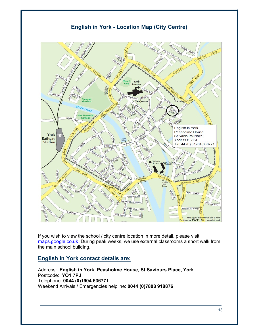### English in York - Location Map (City Centre)



If you wish to view the school / city centre location in more detail, please visit: maps.google.co.uk During peak weeks, we use external classrooms a short walk from the main school building.

### English in York contact details are:

Address: English in York, Peasholme House, St Saviours Place, York Postcode: YO1 7PJ Telephone: 0044 (0)1904 636771 Weekend Arrivals / Emergencies helpline: 0044 (0)7808 918876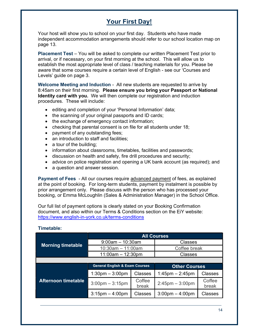# Your First Day!

Your host will show you to school on your first day. Students who have made independent accommodation arrangements should refer to our school location map on page 13.

Placement Test – You will be asked to complete our written Placement Test prior to arrival, or if necessary, on your first morning at the school. This will allow us to establish the most appropriate level of class / teaching materials for you. Please be aware that some courses require a certain level of English - see our 'Courses and Levels' guide on page 3.

Welcome Meeting and Induction - All new students are requested to arrive by 8:45am on their first morning. Please ensure you bring your Passport or National Identity card with you. We will then complete our registration and induction procedures. These will include:

- editing and completion of your 'Personal Information' data;
- the scanning of your original passports and ID cards;
- the exchange of emergency contact information;
- checking that parental consent is on file for all students under 18;
- payment of any outstanding fees;
- an introduction to staff and facilities;
- a tour of the building;
- information about classrooms, timetables, facilities and passwords;
- discussion on health and safety, fire drill procedures and security;
- advice on police registration and opening a UK bank account (as required); and
- a question and answer session.

Payment of Fees - All our courses require advanced payment of fees, as explained at the point of booking. For long-term students, payment by instalment is possible by prior arrangement only. Please discuss with the person who has processed your booking, or Emma McLoughlin (Sales & Administration Manager) in the School Office.

Our full list of payment options is clearly stated on your Booking Confirmation document, and also within our Terms & Conditions section on the EiY website: https://www.english-in-york.co.uk/terms-conditions

|                            | <b>All Courses</b>                        |                 |                                   |                 |  |
|----------------------------|-------------------------------------------|-----------------|-----------------------------------|-----------------|--|
| <b>Morning timetable</b>   | $9:00$ am $-10:30$ am                     |                 | Classes                           |                 |  |
|                            | $10:30$ am $-11:00$ am                    |                 | Coffee break                      |                 |  |
|                            | $11:00am - 12:30pm$                       |                 | Classes                           |                 |  |
|                            |                                           |                 |                                   |                 |  |
| <b>Afternoon timetable</b> | <b>General English &amp; Exam Courses</b> |                 | <b>Other Courses</b>              |                 |  |
|                            | $1:30$ pm $-3:00$ pm                      | Classes         | $1:45$ pm $- 2:45$ pm             | Classes         |  |
|                            | $3:00$ pm $-3:15$ pm                      | Coffee<br>break | $2:45$ pm $-3:00$ pm              | Coffee<br>break |  |
|                            | $3:15$ pm $-4:00$ pm                      | <b>Classes</b>  | $3:00 \text{pm} - 4:00 \text{pm}$ | <b>Classes</b>  |  |

### Timetable: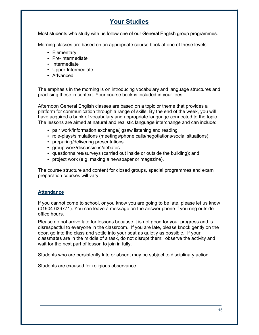# Your Studies

Most students who study with us follow one of our General English group programmes.

Morning classes are based on an appropriate course book at one of these levels:

- Elementary
- Pre-Intermediate
- Intermediate
- Upper-Intermediate
- Advanced

The emphasis in the morning is on introducing vocabulary and language structures and practising these in context. Your course book is included in your fees.

Afternoon General English classes are based on a topic or theme that provides a platform for communication through a range of skills. By the end of the week, you will have acquired a bank of vocabulary and appropriate language connected to the topic. The lessons are aimed at natural and realistic language interchange and can include:

- pair work/information exchange/jigsaw listening and reading
- role-plays/simulations (meetings/phone calls/negotiations/social situations)
- preparing/delivering presentations
- group work/discussions/debates
- questionnaires/surveys (carried out inside or outside the building); and
- project work (e.g. making a newspaper or magazine).

The course structure and content for closed groups, special programmes and exam preparation courses will vary.

### Attendance

If you cannot come to school, or you know you are going to be late, please let us know (01904 636771). You can leave a message on the answer phone if you ring outside office hours.

Please do not arrive late for lessons because it is not good for your progress and is disrespectful to everyone in the classroom. If you are late, please knock gently on the door, go into the class and settle into your seat as quietly as possible. If your classmates are in the middle of a task, do not disrupt them: observe the activity and wait for the next part of lesson to join in fully.

Students who are persistently late or absent may be subject to disciplinary action.

Students are excused for religious observance.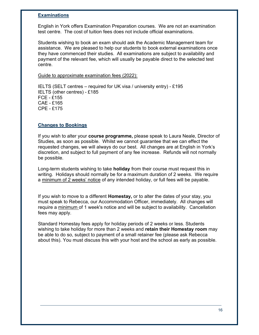### **Examinations**

English in York offers Examination Preparation courses. We are not an examination test centre. The cost of tuition fees does not include official examinations.

Students wishing to book an exam should ask the Academic Management team for assistance. We are pleased to help our students to book external examinations once they have commenced their studies. All examinations are subject to availability and payment of the relevant fee, which will usually be payable direct to the selected test centre.

Guide to approximate examination fees (2022):

IELTS (SELT centres – required for UK visa / university entry) - £195 IELTS (other centres) - £185 FCE - £155 CAE - £165 CPE - £175

#### Changes to Bookings

If you wish to alter your **course programme**, please speak to Laura Neale, Director of Studies, as soon as possible. Whilst we cannot guarantee that we can effect the requested changes, we will always do our best. All changes are at English in York's discretion, and subject to full payment of any fee increase. Refunds will not normally be possible.

Long-term students wishing to take **holiday** from their course must request this in writing. Holidays should normally be for a maximum duration of 2 weeks. We require a minimum of 2 weeks' notice of any intended holiday, or full fees will be payable.

If you wish to move to a different **Homestay**, or to alter the dates of your stay, you must speak to Rebecca, our Accommodation Officer, immediately. All changes will require a minimum of 1 week's notice and will be subject to availability. Cancellation fees may apply.

Standard Homestay fees apply for holiday periods of 2 weeks or less. Students wishing to take holiday for more than 2 weeks and retain their Homestay room may be able to do so, subject to payment of a small retainer fee (please ask Rebecca about this). You must discuss this with your host and the school as early as possible.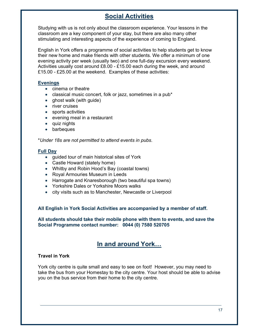# Social Activities

Studying with us is not only about the classroom experience. Your lessons in the classroom are a key component of your stay, but there are also many other stimulating and interesting aspects of the experience of coming to England.

English in York offers a programme of social activities to help students get to know their new home and make friends with other students. We offer a minimum of one evening activity per week (usually two) and one full-day excursion every weekend. Activities usually cost around £8.00 - £15.00 each during the week, and around £15.00 - £25.00 at the weekend. Examples of these activities:

### Evenings

- cinema or theatre
- classical music concert, folk or jazz, sometimes in a pub\*
- ghost walk (with guide)
- river cruises
- sports activities
- evening meal in a restaurant
- quiz nights
- barbeques

\*Under 18s are not permitted to attend events in pubs.

### Full Day

- guided tour of main historical sites of York
- Castle Howard (stately home)
- Whitby and Robin Hood's Bay (coastal towns)
- Royal Armouries Museum in Leeds
- Harrogate and Knaresborough (two beautiful spa towns)
- Yorkshire Dales or Yorkshire Moors walks
- city visits such as to Manchester, Newcastle or Liverpool

#### All English in York Social Activities are accompanied by a member of staff.

All students should take their mobile phone with them to events, and save the Social Programme contact number: 0044 (0) 7580 520705

### In and around York…

### Travel in York

York city centre is quite small and easy to see on foot! However, you may need to take the bus from your Homestay to the city centre. Your host should be able to advise you on the bus service from their home to the city centre.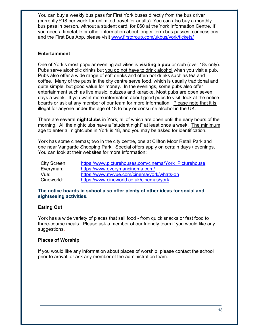You can buy a weekly bus pass for First York buses directly from the bus driver (currently £18 per week for unlimited travel for adults). You can also buy a monthly bus pass in person, without a student card, for £60 at the York Information Centre. If you need a timetable or other information about longer-term bus passes, concessions and the First Bus App, please visit www.firstgroup.com/ukbus/york/tickets/

### **Entertainment**

One of York's most popular evening activities is **visiting a pub** or club (over 18s only). Pubs serve alcoholic drinks but you do not have to drink alcohol when you visit a pub. Pubs also offer a wide range of soft drinks and often hot drinks such as tea and coffee. Many of the pubs in the city centre serve food, which is usually traditional and quite simple, but good value for money. In the evenings, some pubs also offer entertainment such as live music, quizzes and karaoke. Most pubs are open seven days a week. If you want more information about good pubs to visit, look at the notice boards or ask at any member of our team for more information. Please note that it is illegal for anyone under the age of 18 to buy or consume alcohol in the UK.

There are several **nightclubs** in York, all of which are open until the early hours of the morning. All the nightclubs have a "student night" at least once a week. The minimum age to enter all nightclubs in York is 18, and you may be asked for identification.

York has some cinemas; two in the city centre, one at Clifton Moor Retail Park and one near Vangarde Shopping Park. Special offers apply on certain days / evenings. You can look at their websites for more information:

| City Screen: | https://www.picturehouses.com/cinema/York Picturehouse |
|--------------|--------------------------------------------------------|
| Everyman:    | https://www.everymancinema.com/                        |
| Vue:         | https://www.myvue.com/cinema/york/whats-on             |
| Cineworld:   | https://www.cineworld.co.uk/cinemas/york               |

### The notice boards in school also offer plenty of other ideas for social and sightseeing activities.

### Eating Out

York has a wide variety of places that sell food - from quick snacks or fast food to three-course meals. Please ask a member of our friendly team if you would like any suggestions.

### Places of Worship

If you would like any information about places of worship, please contact the school prior to arrival, or ask any member of the administration team.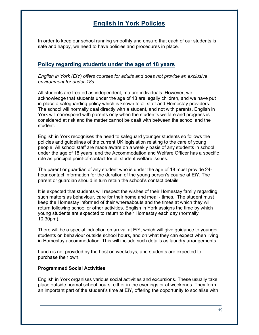# English in York Policies

In order to keep our school running smoothly and ensure that each of our students is safe and happy, we need to have policies and procedures in place.

### Policy regarding students under the age of 18 years

English in York (EiY) offers courses for adults and does not provide an exclusive environment for under-18s.

All students are treated as independent, mature individuals. However, we acknowledge that students under the age of 18 are legally children, and we have put in place a safeguarding policy which is known to all staff and Homestay providers. The school will normally deal directly with a student, and not with parents. English in York will correspond with parents only when the student's welfare and progress is considered at risk and the matter cannot be dealt with between the school and the student.

English in York recognises the need to safeguard younger students so follows the policies and guidelines of the current UK legislation relating to the care of young people. All school staff are made aware on a weekly basis of any students in school under the age of 18 years, and the Accommodation and Welfare Officer has a specific role as principal point-of-contact for all student welfare issues.

The parent or guardian of any student who is under the age of 18 must provide 24 hour contact information for the duration of the young person's course at EiY. The parent or guardian should in turn retain the school's contact details.

It is expected that students will respect the wishes of their Homestay family regarding such matters as behaviour, care for their home and meal - times. The student must keep the Homestay informed of their whereabouts and the times at which they will return following school or other activities. English in York assigns the time by which young students are expected to return to their Homestay each day (normally 10.30pm).

There will be a special induction on arrival at EiY, which will give guidance to younger students on behaviour outside school hours, and on what they can expect when living in Homestay accommodation. This will include such details as laundry arrangements.

Lunch is not provided by the host on weekdays, and students are expected to purchase their own.

#### Programmed Social Activities

English in York organises various social activities and excursions. These usually take place outside normal school hours, either in the evenings or at weekends. They form an important part of the student's time at EiY, offering the opportunity to socialise with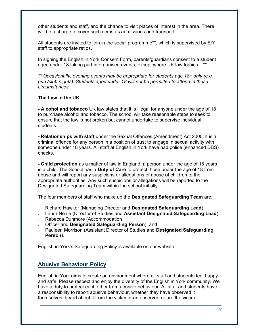other students and staff, and the chance to visit places of interest in the area. There will be a charge to cover such items as admissions and transport.

All students are invited to join in the social programme\*\*, which is supervised by EiY staff to appropriate ratios.

In signing the English in York Consent Form, parents/guardians consent to a student aged under 18 taking part in organised events, except where UK law forbids it.\*\*

\*\* Occasionally, evening events may be appropriate for students age 18+ only (e.g. pub /club nights). Students aged under 18 will not be permitted to attend in these circumstances.

### The Law in the UK

- Alcohol and tobacco UK law states that it is illegal for anyone under the age of 18 to purchase alcohol and tobacco. The school will take reasonable steps to seek to ensure that the law is not broken but cannot undertake to supervise individual students.

- Relationships with staff under the Sexual Offences (Amendment) Act 2000, it is a criminal offence for any person in a position of trust to engage in sexual activity with someone under 18 years. All staff at English in York have had police (enhanced DBS) checks.

- Child protection as a matter of law in England, a person under the age of 18 years is a child. The School has a **Duty of Care** to protect those under the age of 18 from abuse and will report any suspicions or allegations of abuse of children to the appropriate authorities. Any such suspicions or allegations will be reported to the Designated Safeguarding Team within the school initially.

The four members of staff who make up the **Designated Safeguarding Team** are:

- Richard Hawker (Managing Director and Designated Safeguarding Lead);
- Laura Neale (Director of Studies and Assistant Designated Safeguarding Lead);
- Rebecca Dunmore (Accommodation
- Officer and Designated Safeguarding Person); and
- Pauleen Morrison (Assistant Director of Studies and Designated Safeguarding Person).

English in York's Safeguarding Policy is available on our website.

### Abusive Behaviour Policy

English in York aims to create an environment where all staff and students feel happy and safe. Please respect and enjoy the diversity of the English in York community. We have a duty to protect each other from abusive behaviour. All staff and students have a responsibility to report abusive behaviour, whether they have observed it themselves, heard about it from the victim or an observer, or are the victim.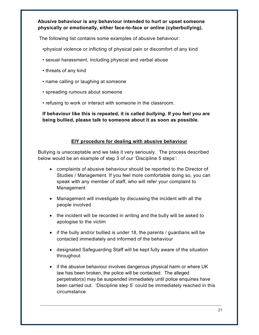Abusive behaviour is any behaviour intended to hurt or upset someone physically or emotionally, either face-to-face or online (cyberbullying).

The following list contains some examples of abusive behaviour:

•physical violence or inflicting of physical pain or discomfort of any kind

- sexual harassment, including physical and verbal abuse
- threats of any kind
- name calling or laughing at someone
- spreading rumours about someone
- refusing to work or interact with someone in the classroom.

If behaviour like this is repeated, it is called bullying. If you feel you are being bullied, please talk to someone about it as soon as possible.

### EIY procedure for dealing with abusive behaviour

Bullying is unacceptable and we take it very seriously. The process described below would be an example of step 3 of our 'Discipline 5 steps':

- complaints of abusive behaviour should be reported to the Director of Studies / Management. If you feel more comfortable doing so, you can speak with any member of staff, who will refer your complaint to Management
- Management will investigate by discussing the incident with all the people involved
- the incident will be recorded in writing and the bully will be asked to apologise to the victim
- $\bullet$  if the bully and/or bullied is under 18, the parents / guardians will be contacted immediately and informed of the behaviour
- designated Safeguarding Staff will be kept fully aware of the situation throughout
- if the abusive behaviour involves dangerous physical harm or where UK law has been broken, the police will be contacted. The alleged perpetrator(s) may be suspended immediately until police enquiries have been carried out. 'Discipline step 5' could be immediately reached in this circumstance.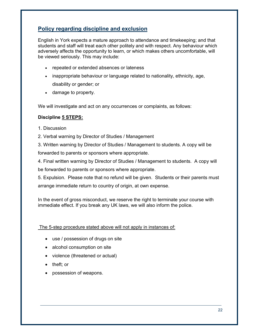### Policy regarding discipline and exclusion

English in York expects a mature approach to attendance and timekeeping; and that students and staff will treat each other politely and with respect. Any behaviour which adversely affects the opportunity to learn, or which makes others uncomfortable, will be viewed seriously. This may include:

- repeated or extended absences or lateness
- inappropriate behaviour or language related to nationality, ethnicity, age, disability or gender; or
- damage to property.

We will investigate and act on any occurrences or complaints, as follows:

### Discipline 5 STEPS:

- 1. Discussion
- 2. Verbal warning by Director of Studies / Management
- 3. Written warning by Director of Studies / Management to students. A copy will be

forwarded to parents or sponsors where appropriate.

4. Final written warning by Director of Studies / Management to students. A copy will be forwarded to parents or sponsors where appropriate.

5. Expulsion. Please note that no refund will be given. Students or their parents must arrange immediate return to country of origin, at own expense.

In the event of gross misconduct, we reserve the right to terminate your course with immediate effect. If you break any UK laws, we will also inform the police.

#### The 5-step procedure stated above will not apply in instances of:

- use / possession of drugs on site
- alcohol consumption on site
- violence (threatened or actual)
- theft; or
- possession of weapons.